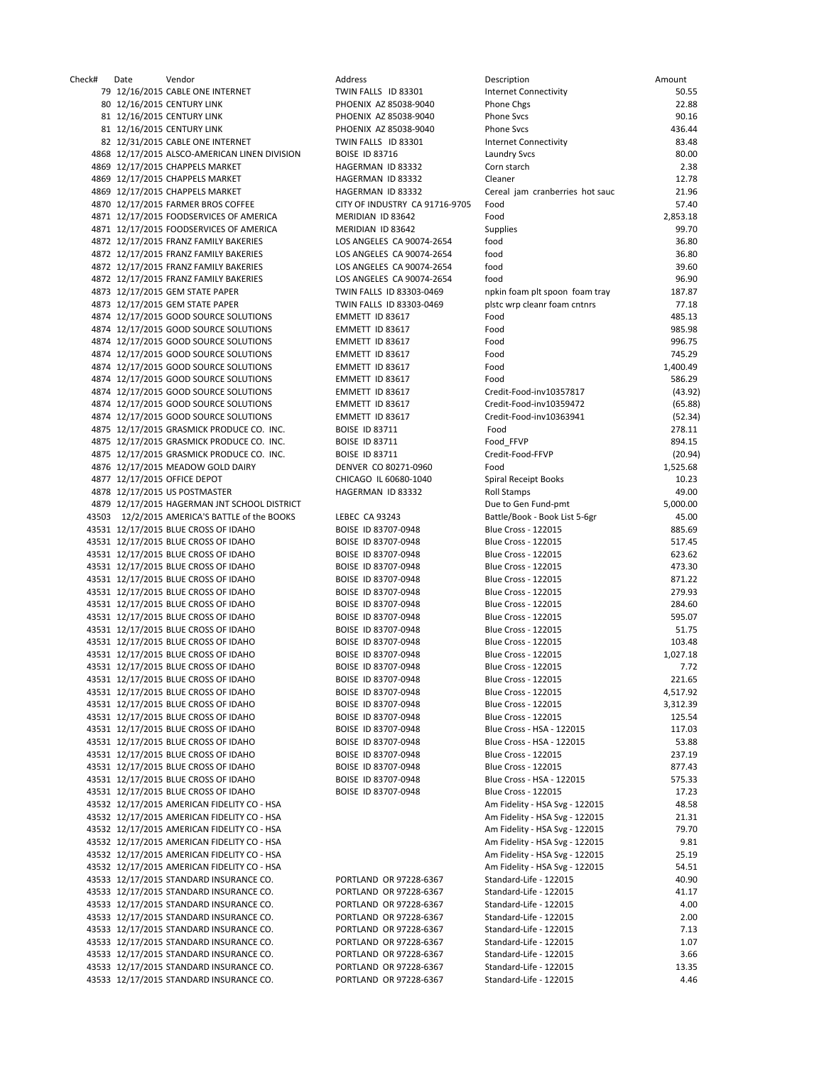Check# Date Vendor Address Description Amount 79 12/16/2015 CABLE ONE INTERNET TWIN FALLS ID 83301 80 12/16/2015 CENTURY LINK PHOENIX AZ 85038‐9040 Phone Chgs 22.88 81 12/16/2015 CENTURY LINK PHOENIX AZ 85038-9040 81 12/16/2015 CENTURY LINK **PHOENIX AZ 85038-9040** 82 12/31/2015 CABLE ONE INTERNET TWIN FALLS ID 83301 4868 12/17/2015 ALSCO-AMERICAN LINEN DIVISION BOISE ID 83716 4869 12/17/2015 CHAPPELS MARKET HAGERMAN ID 83332 4869 12/17/2015 CHAPPELS MARKET HAGERMAN ID 83332 4869 12/17/2015 CHAPPELS MARKET HAGERMAN ID 83332 4870 12/17/2015 FARMER BROS COFFEE CITY OF INDUSTRY CA 91716-9705 4871 12/17/2015 FOODSERVICES OF AMERICA MERIDIAN ID 83642 4871 12/17/2015 FOODSERVICES OF AMERICA MERIDIAN ID 83642 Supplies Supplies 99.70 4872 12/17/2015 FRANZ FAMILY BAKERIES LOS ANGELES CA 90074-2654 4872 12/17/2015 FRANZ FAMILY BAKERIES LOS ANGELES CA 90074-2654 4872 12/17/2015 FRANZ FAMILY BAKERIES LOS ANGELES CA 90074-2654 4872 12/17/2015 FRANZ FAMILY BAKERIES LOS ANGELES CA 90074-2654 4873 12/17/2015 GEM STATE PAPER TWIN FALLS ID 83303-0469 4873 12/17/2015 GEM STATE PAPER TWIN FALLS ID 83303-0469 4874 12/17/2015 GOOD SOURCE SOLUTIONS EMMETT ID 83617 4874 12/17/2015 GOOD SOURCE SOLUTIONS EMMETT ID 83617 4874 12/17/2015 GOOD SOURCE SOLUTIONS EMMETT ID 83617 4874 12/17/2015 GOOD SOURCE SOLUTIONS EMMETT ID 83617 4874 12/17/2015 GOOD SOURCE SOLUTIONS FMMETT ID 83617 4874 12/17/2015 GOOD SOURCE SOLUTIONS EMMETT ID 83617 4874 12/17/2015 GOOD SOURCE SOLUTIONS EMMETT ID 83617 Credit‐Food‐inv10357817 (43.92) 4874 12/17/2015 GOOD SOURCE SOLUTIONS EMMETT ID 83617 Credit‐Food‐inv10359472 (65.88) 4874 12/17/2015 GOOD SOURCE SOLUTIONS EMMETT ID 83617 Credit‐Food‐inv10363941 (52.34) 4875 12/17/2015 GRASMICK PRODUCE CO. INC. BOISE ID 83711 Food Food 278.11 4875 12/17/2015 GRASMICK PRODUCE CO. INC. BOISE ID 83711 Food FFVP Food FFVP 894.15 4875 12/17/2015 GRASMICK PRODUCE CO. INC. BOISE ID 83711 Credit‐Food‐FFVP (20.94) 4876 12/17/2015 MEADOW GOLD DAIRY DENVER CO 80271-0960 Food Food 1,525.68 4877 12/17/2015 OFFICE DEPOT CHICAGO IL 60680-1040 4878 12/17/2015 US POSTMASTER **A CONSERVEY CONSERVEYS HAGERMAN ID 83332** Roll Stamps **49.00** 49.00 4879 12/17/2015 HAGERMAN JNT SCHOOL DISTRICT 
BOOT AND A SUB-BOOT COMPLETED TO BE THE SOLUTION OF SALE OF SOLUTION OF SALE OF SALE OF SALE OF SALE OF SALE OF SALE OF SALE OF SALE OF SALE OF SALE OF SALE OF SALE OF SALE OF 43503 12/2/2015 AMERICA'S BATTLE of the BOOKS LEBEC CA 93243 43531 12/17/2015 BLUE CROSS OF IDAHO BOISE ID 83707-0948 43531 12/17/2015 BLUE CROSS OF IDAHO BOISE ID 83707-0948 43531 12/17/2015 BLUE CROSS OF IDAHO BOISE ID 83707-0948 43531 12/17/2015 BLUE CROSS OF IDAHO BOISE ID 83707-0948 43531 12/17/2015 BLUE CROSS OF IDAHO BOISE ID 83707-0948 43531 12/17/2015 BLUE CROSS OF IDAHO BOISE ID 83707-0948 43531 12/17/2015 BLUE CROSS OF IDAHO BOISE ID 83707-0948 43531 12/17/2015 BLUE CROSS OF IDAHO BOISE ID 83707-0948 43531 12/17/2015 BLUE CROSS OF IDAHO BOISE ID 83707-0948 43531 12/17/2015 BLUE CROSS OF IDAHO BOISE ID 83707-0948 43531 12/17/2015 BLUE CROSS OF IDAHO BOISE ID 83707-0948 43531 12/17/2015 BLUE CROSS OF IDAHO BOISE ID 83707-0948 43531 12/17/2015 BLUE CROSS OF IDAHO BOISE ID 83707-0948 43531 12/17/2015 BLUE CROSS OF IDAHO BOISE ID 83707-0948 43531 12/17/2015 BLUE CROSS OF IDAHO BOISE ID 83707-0948 43531 12/17/2015 BLUE CROSS OF IDAHO BOISE ID 83707-0948 43531 12/17/2015 BLUE CROSS OF IDAHO BOISE ID 83707-0948 43531 12/17/2015 BLUE CROSS OF IDAHO BOISE ID 83707-0948 43531 12/17/2015 BLUE CROSS OF IDAHO BOISE ID 83707-0948 43531 12/17/2015 BLUE CROSS OF IDAHO BOISE ID 83707-0948 43531 12/17/2015 BLUE CROSS OF IDAHO BOISE ID 83707-0948 43531 12/17/2015 BLUE CROSS OF IDAHO BOISE ID 83707-0948 43532 12/17/2015 AMERICAN FIDELITY CO - HSA 43532 12/17/2015 AMERICAN FIDELITY CO - HSA 43532 12/17/2015 AMERICAN FIDELITY CO - HSA 43532 12/17/2015 AMERICAN FIDELITY CO - HSA 43532 12/17/2015 AMERICAN FIDELITY CO - HSA 43532 12/17/2015 AMERICAN FIDELITY CO - HSA 43533 12/17/2015 STANDARD INSURANCE CO. PORTLAND OR 97228-6367 43533 12/17/2015 STANDARD INSURANCE CO. PORTLAND OR 97228-6367 43533 12/17/2015 STANDARD INSURANCE CO. PORTLAND OR 97228-6367 43533 12/17/2015 STANDARD INSURANCE CO. PORTLAND OR 97228-6367 43533 12/17/2015 STANDARD INSURANCE CO. PORTLAND OR 97228-6367 43533 12/17/2015 STANDARD INSURANCE CO. PORTLAND OR 97228-6367 43533 12/17/2015 STANDARD INSURANCE CO. PORTLAND OR 97228-6367 43533 12/17/2015 STANDARD INSURANCE CO. PORTLAND OR 97228‐6367 Standard‐Life ‐ 122015 13.35 43533 12/17/2015 STANDARD INSURANCE CO. PORTLAND OR 97228-6367

| Description                                              | Amount            |
|----------------------------------------------------------|-------------------|
| <b>Internet Connectivity</b>                             | 50.5              |
| Phone Chgs                                               | 22.88             |
| Phone Svcs                                               | 90.1              |
| Phone Svcs                                               | 436.4             |
| Internet Connectivity                                    | 83.48             |
| Laundry Svcs                                             | 80.00             |
| Corn starch                                              | 2.38              |
| Cleaner                                                  | 12.78             |
| Cereal jam cranberries hot sauc                          | 21.96             |
| Food                                                     | 57.40             |
| Food<br>Supplies                                         | 2,853.18<br>99.7  |
| food                                                     | 36.80             |
| food                                                     | 36.80             |
| food                                                     | 39.6              |
| food                                                     | 96.90             |
| npkin foam plt spoon foam tray                           | 187.8             |
| plstc wrp cleanr foam cntnrs                             | 77.18             |
| Food                                                     | 485.1             |
| Food                                                     | 985.98            |
| Food                                                     | 996.7             |
| Food                                                     | 745.2             |
| Food                                                     | 1,400.4           |
| Food                                                     | 586.29            |
| Credit-Food-inv10357817                                  | (43.9)            |
| Credit-Food-inv10359472                                  | (65.88)           |
| Credit-Food-inv10363941                                  | (52.34)           |
| Food                                                     | 278.1             |
| Food FFVP                                                | 894.1             |
| Credit-Food-FFVP                                         | (20.94)           |
| Food<br>Spiral Receipt Books                             | 1,525.68<br>10.23 |
| Roll Stamps                                              | 49.00             |
| Due to Gen Fund-pmt                                      | 5,000.0           |
| Battle/Book - Book List 5-6gr                            | 45.0              |
| Blue Cross - 122015                                      | 885.69            |
| Blue Cross - 122015                                      | 517.4             |
| Blue Cross - 122015                                      | 623.6             |
| Blue Cross - 122015                                      | 473.30            |
| <b>Blue Cross - 122015</b>                               | 871.22            |
| Blue Cross - 122015                                      | 279.93            |
| Blue Cross - 122015                                      | 284.6             |
| <b>Blue Cross - 122015</b>                               | 595.0             |
| Blue Cross - 122015                                      | 51.7!             |
| Blue Cross - 122015                                      | 103.48            |
| Blue Cross - 122015                                      | 1,027.18          |
| <b>Blue Cross - 122015</b><br><b>Blue Cross - 122015</b> | 7.7.<br>221.6     |
| Blue Cross - 122015                                      | 4,517.92          |
| Blue Cross - 122015                                      | 3,312.3           |
| Blue Cross - 122015                                      | 125.54            |
| Blue Cross - HSA - 122015                                | 117.0             |
| Blue Cross - HSA - 122015                                | 53.88             |
| Blue Cross - 122015                                      | 237.19            |
| Blue Cross - 122015                                      | 877.43            |
| Blue Cross - HSA - 122015                                | 575.33            |
| <b>Blue Cross - 122015</b>                               | 17.23             |
| Am Fidelity - HSA Svg - 122015                           | 48.58             |
| Am Fidelity - HSA Svg - 122015                           | 21.3              |
| Am Fidelity - HSA Svg - 122015                           | 79.70             |
| Am Fidelity - HSA Svg - 122015                           | $9.8^{\circ}$     |
| Am Fidelity - HSA Svg - 122015                           | 25.19             |
| Am Fidelity - HSA Svg - 122015                           | 54.5              |
| Standard-Life - 122015                                   | 40.90             |
| Standard-Life - 122015<br>Standard-Life - 122015         | 41.1<br>4.0       |
| Standard-Life - 122015                                   | 2.00              |
| Standard-Life - 122015                                   | 7.13              |
| Standard-Life - 122015                                   | 1.0               |
| Standard-Life - 122015                                   | 3.66              |
| Standard-Life - 122015                                   | 13.3              |
| Standard-Life - 122015                                   | 4.4(              |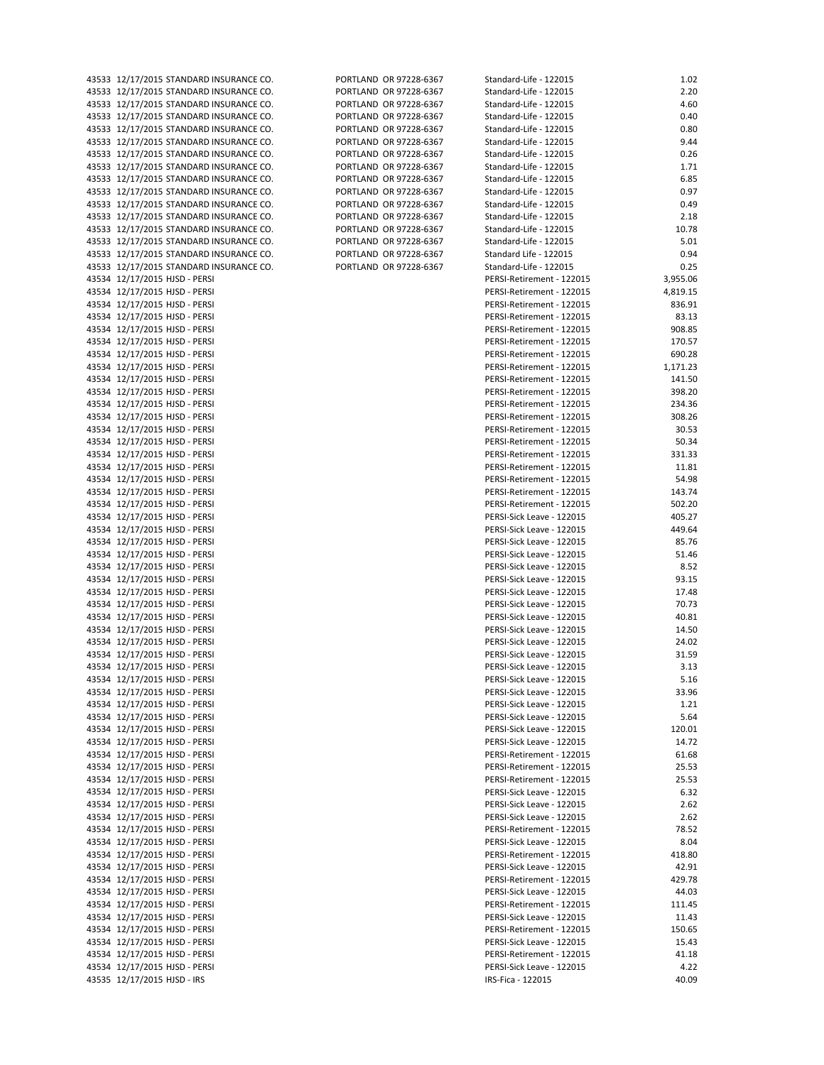| 4555  | <b>IZ/I//Z013 STANDAND INSONANCE \</b> |
|-------|----------------------------------------|
|       | 43533 12/17/2015 STANDARD INSURANCE (  |
|       | 43533 12/17/2015 STANDARD INSURANCE    |
|       |                                        |
|       | 43533 12/17/2015 STANDARD INSURANCE    |
|       | 43533 12/17/2015 STANDARD INSURANCE    |
|       | 43533 12/17/2015 STANDARD INSURANCE    |
|       |                                        |
|       | 43533 12/17/2015 STANDARD INSURANCE    |
| 43533 | 12/17/2015 STANDARD INSURANCE          |
|       |                                        |
| 43533 | 12/17/2015 STANDARD INSURANCE          |
| 43533 | 12/17/2015 STANDARD INSURANCE          |
| 43533 | 12/17/2015 STANDARD INSURANCE          |
|       |                                        |
| 43533 | 12/17/2015 STANDARD INSURANCE          |
| 43533 | 12/17/2015 STANDARD INSURANCE          |
| 43533 | 12/17/2015 STANDARD INSURANCE (        |
| 43533 | 12/17/2015 STANDARD INSURANCE (        |
|       |                                        |
|       | 43533 12/17/2015 STANDARD INSURANCE    |
|       | 43534 12/17/2015 HJSD - PERSI          |
|       | 43534 12/17/2015 HJSD - PERSI          |
|       |                                        |
| 43534 | 12/17/2015 HJSD - PERSI                |
| 43534 | 12/17/2015 HJSD - PERSI                |
| 43534 | 12/17/2015 HJSD - PERSI                |
|       |                                        |
| 43534 | 12/17/2015 HJSD - PERSI                |
| 43534 | 12/17/2015 HJSD - PERSI                |
|       | 43534 12/17/2015 HJSD - PERSI          |
|       |                                        |
|       | 43534 12/17/2015 HJSD - PERSI          |
|       | 43534 12/17/2015 HJSD - PERSI          |
|       | 43534 12/17/2015 HJSD - PERSI          |
|       |                                        |
| 43534 | 12/17/2015 HJSD - PERSI                |
|       | 43534 12/17/2015 HJSD - PERSI          |
| 43534 | 12/17/2015 HJSD - PERSI                |
|       | 12/17/2015 HJSD - PERSI                |
| 43534 |                                        |
| 43534 | 12/17/2015 HJSD - PERSI                |
| 43534 | 12/17/2015 HJSD - PERSI                |
|       |                                        |
| 43534 | 12/17/2015 HJSD - PERSI                |
| 43534 | 12/17/2015 HJSD - PERSI                |
|       | 43534 12/17/2015 HJSD - PERSI          |
| 43534 | 12/17/2015 HJSD - PERSI                |
|       |                                        |
|       | 43534 12/17/2015 HJSD - PERSI          |
| 43534 | 12/17/2015 HJSD - PERSI                |
| 43534 | 12/17/2015 HJSD - PERSI                |
|       |                                        |
| 43534 | 12/17/2015 HJSD - PERSI                |
| 43534 | 12/17/2015 HJSD - PERSI                |
| 43534 | 12/17/2015 HJSD - PERSI                |
| 43534 | 12/17/2015 HJSD - PERSI                |
|       |                                        |
|       | 43534 12/17/2015 HJSD - PERSI          |
|       | 43534 12/17/2015 HJSD - PERSI          |
|       | 43534 12/17/2015 HJSD - PERSI          |
|       | 43534 12/17/2015 HJSD - PERSI          |
|       |                                        |
| 43534 | 12/17/2015 HJSD - PERSI                |
| 43534 | 12/17/2015 HJSD - PERSI                |
| 43534 | 12/17/2015 HJSD - PERSI                |
|       |                                        |
| 43534 | 12/17/2015 HJSD - PERSI                |
| 43534 | 12/17/2015 HJSD - PERSI                |
| 43534 | 12/17/2015 HJSD - PERSI                |
| 43534 | 12/17/2015 HJSD - PERSI                |
|       |                                        |
| 43534 | 12/17/2015 HJSD - PERSI                |
| 43534 | 12/17/2015 HJSD - PERSI                |
|       |                                        |
| 43534 | 12/17/2015 HJSD - PERSI                |
| 43534 | 12/17/2015 HJSD - PERSI                |
| 43534 | 12/17/2015 HJSD - PERSI                |
|       |                                        |
| 43534 | 12/17/2015 HJSD - PERSI                |
| 43534 | 12/17/2015 HJSD - PERSI                |
| 43534 | 12/17/2015 HJSD - PERSI                |
| 43534 | 12/17/2015 HJSD - PERSI                |
|       |                                        |
| 43534 | 12/17/2015 HJSD - PERSI                |
| 43534 | 12/17/2015 HJSD - PERSI                |
| 43534 | 12/17/2015 HJSD - PERSI                |
|       |                                        |
| 43534 | 12/17/2015 HJSD - PERSI                |
| 43534 | 12/17/2015 HJSD - PERSI                |
| 43534 | 12/17/2015 HJSD - PERSI                |
| 43534 | 12/17/2015 HJSD - PERSI                |
|       |                                        |
| 43534 | 12/17/2015 HJSD - PERSI                |
|       |                                        |

|  | 913.77213.9777         |
|--|------------------------|
|  | PORTLAND OR 97228-6367 |
|  | PORTLAND OR 97228-6367 |
|  | PORTLAND OR 97228-6367 |
|  | PORTLAND OR 97228-6367 |
|  | PORTLAND OR 97228-6367 |
|  | PORTLAND OR 97228-6367 |
|  | PORTLAND OR 97228-6367 |
|  | PORTLAND OR 97228-6367 |
|  | PORTLAND OR 97228-6367 |
|  | PORTLAND OR 97228-6367 |
|  | PORTLAND OR 97228-6367 |
|  | PORTLAND OR 97228-6367 |
|  | PORTLAND OR 97228-6367 |
|  | PORTLAND OR 97228-6367 |
|  | PORTLAND OR 97228-6367 |

| 43533 12/17/2015 STANDARD INSURANCE CO.                                            | PORTLAND OR 97228-6367                           | Standard-Life - 122015                                 | 1.02             |
|------------------------------------------------------------------------------------|--------------------------------------------------|--------------------------------------------------------|------------------|
| 43533 12/17/2015 STANDARD INSURANCE CO.                                            | PORTLAND OR 97228-6367                           | Standard-Life - 122015                                 | 2.20             |
| 43533 12/17/2015 STANDARD INSURANCE CO.                                            | PORTLAND OR 97228-6367                           | Standard-Life - 122015                                 | 4.60             |
| 43533 12/17/2015 STANDARD INSURANCE CO.                                            | PORTLAND OR 97228-6367                           | Standard-Life - 122015                                 | 0.40             |
| 43533 12/17/2015 STANDARD INSURANCE CO.                                            | PORTLAND OR 97228-6367                           | Standard-Life - 122015                                 | 0.80             |
| 43533 12/17/2015 STANDARD INSURANCE CO.                                            | PORTLAND OR 97228-6367                           | Standard-Life - 122015                                 | 9.44             |
| 43533 12/17/2015 STANDARD INSURANCE CO.                                            | PORTLAND OR 97228-6367                           | Standard-Life - 122015                                 | 0.26             |
| 43533 12/17/2015 STANDARD INSURANCE CO.                                            | PORTLAND OR 97228-6367                           | Standard-Life - 122015                                 | 1.71             |
| 43533 12/17/2015 STANDARD INSURANCE CO.                                            | PORTLAND OR 97228-6367                           | Standard-Life - 122015                                 | 6.85             |
| 43533 12/17/2015 STANDARD INSURANCE CO.<br>43533 12/17/2015 STANDARD INSURANCE CO. | PORTLAND OR 97228-6367<br>PORTLAND OR 97228-6367 | Standard-Life - 122015<br>Standard-Life - 122015       | 0.97<br>0.49     |
| 43533 12/17/2015 STANDARD INSURANCE CO.                                            | PORTLAND OR 97228-6367                           | Standard-Life - 122015                                 | 2.18             |
| 43533 12/17/2015 STANDARD INSURANCE CO.                                            | PORTLAND OR 97228-6367                           | Standard-Life - 122015                                 | 10.78            |
| 43533 12/17/2015 STANDARD INSURANCE CO.                                            | PORTLAND OR 97228-6367                           | Standard-Life - 122015                                 | 5.01             |
| 43533 12/17/2015 STANDARD INSURANCE CO.                                            | PORTLAND OR 97228-6367                           | Standard Life - 122015                                 | 0.94             |
| 43533 12/17/2015 STANDARD INSURANCE CO.                                            | PORTLAND OR 97228-6367                           | Standard-Life - 122015                                 | 0.25             |
| 43534 12/17/2015 HJSD - PERSI                                                      |                                                  | PERSI-Retirement - 122015                              | 3,955.06         |
| 43534 12/17/2015 HJSD - PERSI                                                      |                                                  | PERSI-Retirement - 122015                              | 4,819.15         |
| 43534 12/17/2015 HJSD - PERSI                                                      |                                                  | PERSI-Retirement - 122015                              | 836.91           |
| 43534 12/17/2015 HJSD - PERSI                                                      |                                                  | PERSI-Retirement - 122015                              | 83.13            |
| 43534 12/17/2015 HJSD - PERSI                                                      |                                                  | PERSI-Retirement - 122015                              | 908.85           |
| 43534 12/17/2015 HJSD - PERSI                                                      |                                                  | PERSI-Retirement - 122015                              | 170.57           |
| 43534 12/17/2015 HJSD - PERSI                                                      |                                                  | PERSI-Retirement - 122015                              | 690.28           |
| 43534 12/17/2015 HJSD - PERSI                                                      |                                                  | PERSI-Retirement - 122015                              | 1,171.23         |
| 43534 12/17/2015 HJSD - PERSI<br>43534 12/17/2015 HJSD - PERSI                     |                                                  | PERSI-Retirement - 122015<br>PERSI-Retirement - 122015 | 141.50<br>398.20 |
| 43534 12/17/2015 HJSD - PERSI                                                      |                                                  | PERSI-Retirement - 122015                              | 234.36           |
| 43534 12/17/2015 HJSD - PERSI                                                      |                                                  | PERSI-Retirement - 122015                              | 308.26           |
| 43534 12/17/2015 HJSD - PERSI                                                      |                                                  | PERSI-Retirement - 122015                              | 30.53            |
| 43534 12/17/2015 HJSD - PERSI                                                      |                                                  | PERSI-Retirement - 122015                              | 50.34            |
| 43534 12/17/2015 HJSD - PERSI                                                      |                                                  | PERSI-Retirement - 122015                              | 331.33           |
| 43534 12/17/2015 HJSD - PERSI                                                      |                                                  | PERSI-Retirement - 122015                              | 11.81            |
| 43534 12/17/2015 HJSD - PERSI                                                      |                                                  | PERSI-Retirement - 122015                              | 54.98            |
| 43534 12/17/2015 HJSD - PERSI                                                      |                                                  | PERSI-Retirement - 122015                              | 143.74           |
| 43534 12/17/2015 HJSD - PERSI                                                      |                                                  | PERSI-Retirement - 122015                              | 502.20           |
| 43534 12/17/2015 HJSD - PERSI                                                      |                                                  | PERSI-Sick Leave - 122015                              | 405.27           |
| 43534 12/17/2015 HJSD - PERSI                                                      |                                                  | PERSI-Sick Leave - 122015                              | 449.64           |
| 43534 12/17/2015 HJSD - PERSI                                                      |                                                  | PERSI-Sick Leave - 122015                              | 85.76            |
| 43534 12/17/2015 HJSD - PERSI<br>43534 12/17/2015 HJSD - PERSI                     |                                                  | PERSI-Sick Leave - 122015                              | 51.46<br>8.52    |
| 43534 12/17/2015 HJSD - PERSI                                                      |                                                  | PERSI-Sick Leave - 122015<br>PERSI-Sick Leave - 122015 | 93.15            |
| 43534 12/17/2015 HJSD - PERSI                                                      |                                                  | PERSI-Sick Leave - 122015                              | 17.48            |
| 43534 12/17/2015 HJSD - PERSI                                                      |                                                  | PERSI-Sick Leave - 122015                              | 70.73            |
| 43534 12/17/2015 HJSD - PERSI                                                      |                                                  | PERSI-Sick Leave - 122015                              | 40.81            |
| 43534 12/17/2015 HJSD - PERSI                                                      |                                                  | PERSI-Sick Leave - 122015                              | 14.50            |
| 43534 12/17/2015 HJSD - PERSI                                                      |                                                  | PERSI-Sick Leave - 122015                              | 24.02            |
| 43534 12/17/2015 HJSD - PERSI                                                      |                                                  | PERSI-Sick Leave - 122015                              | 31.59            |
| 43534 12/17/2015 HJSD - PERSI                                                      |                                                  | PERSI-Sick Leave - 122015                              | 3.13             |
| 43534 12/17/2015 HJSD - PERSI                                                      |                                                  | PERSI-Sick Leave - 122015                              | 5.16             |
| 43534 12/17/2015 HJSD - PERSI                                                      |                                                  | PERSI-Sick Leave - 122015                              | 33.96            |
| 43534 12/17/2015 HJSD - PERSI                                                      |                                                  | PERSI-Sick Leave - 122015                              | 1.21             |
| 43534 12/17/2015 HJSD - PERSI                                                      |                                                  | PERSI-Sick Leave - 122015                              | 5.64             |
| 43534 12/17/2015 HJSD - PERSI                                                      |                                                  | PERSI-Sick Leave - 122015                              | 120.01           |
| 43534 12/17/2015 HJSD - PERSI                                                      |                                                  | PERSI-Sick Leave - 122015                              | 14.72            |
| 43534 12/17/2015 HJSD - PERSI<br>43534 12/17/2015 HJSD - PERSI                     |                                                  | PERSI-Retirement - 122015<br>PERSI-Retirement - 122015 | 61.68<br>25.53   |
| 43534 12/17/2015 HJSD - PERSI                                                      |                                                  | PERSI-Retirement - 122015                              | 25.53            |
| 43534 12/17/2015 HJSD - PERSI                                                      |                                                  | PERSI-Sick Leave - 122015                              | 6.32             |
| 43534 12/17/2015 HJSD - PERSI                                                      |                                                  | PERSI-Sick Leave - 122015                              | 2.62             |
| 43534 12/17/2015 HJSD - PERSI                                                      |                                                  | PERSI-Sick Leave - 122015                              | 2.62             |
| 43534 12/17/2015 HJSD - PERSI                                                      |                                                  | PERSI-Retirement - 122015                              | 78.52            |
| 43534 12/17/2015 HJSD - PERSI                                                      |                                                  | PERSI-Sick Leave - 122015                              | 8.04             |
| 43534 12/17/2015 HJSD - PERSI                                                      |                                                  | PERSI-Retirement - 122015                              | 418.80           |
| 43534 12/17/2015 HJSD - PERSI                                                      |                                                  | PERSI-Sick Leave - 122015                              | 42.91            |
| 43534 12/17/2015 HJSD - PERSI                                                      |                                                  | PERSI-Retirement - 122015                              | 429.78           |
| 43534 12/17/2015 HJSD - PERSI                                                      |                                                  | PERSI-Sick Leave - 122015                              | 44.03            |
| 43534 12/17/2015 HJSD - PERSI                                                      |                                                  | PERSI-Retirement - 122015                              | 111.45           |
| 43534 12/17/2015 HJSD - PERSI                                                      |                                                  | PERSI-Sick Leave - 122015                              | 11.43            |
| 43534 12/17/2015 HJSD - PERSI                                                      |                                                  | PERSI-Retirement - 122015                              | 150.65           |
| 43534 12/17/2015 HJSD - PERSI                                                      |                                                  | PERSI-Sick Leave - 122015                              | 15.43            |
| 43534 12/17/2015 HJSD - PERSI<br>43534 12/17/2015 HJSD - PERSI                     |                                                  | PERSI-Retirement - 122015<br>PERSI-Sick Leave - 122015 | 41.18<br>4.22    |
| 43535 12/17/2015 HJSD - IRS                                                        |                                                  | IRS-Fica - 122015                                      | 40.09            |
|                                                                                    |                                                  |                                                        |                  |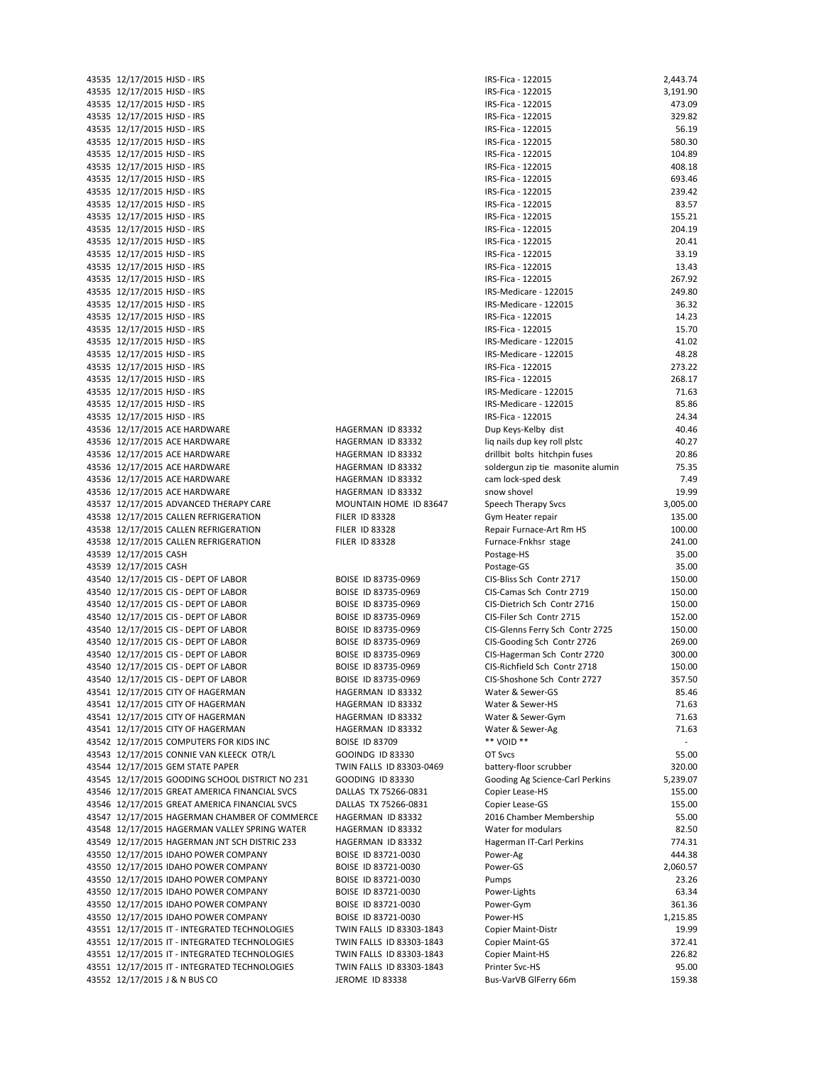43535 12/17/2015 HJSD - IRS IRS IRS-FICA IRS-FICA - 122015 3,191.90 43535 12/17/2015 HJSD ‐ IRS IRS‐Fica ‐ 122015 473.09 43535 12/17/2015 HJSD ‐ IRS IRS‐Fica ‐ 122015 329.82 43535 12/17/2015 HJSD ‐ IRS IRS‐Fica ‐ 122015 56.19 43535 12/17/2015 HJSD ‐ IRS IRS‐Fica ‐ 122015 580.30 43535 12/17/2015 HISD ‐ IRS IRS‐Fica ‐ 122015 IRS‐Fica ‐ 122015 IRS‐Fica ‐ 122015 ISD ISD ISD ISD ISD ISD ISD ISD ISD ISD ISD ISD ISD ISD ISD ISD ISD ISD IS 43535 12/17/2015 HJSD ‐ IRS IRS‐Fica ‐ 122015 408.18 43535 12/17/2015 HJSD ‐ IRS IRS‐Fica ‐ 122015 693.46 43535 12/17/2015 HJSD ‐ IRS IRS‐Fica ‐ 122015 239.42 43535 12/17/2015 HJSD ‐ IRS IRS‐Fica ‐ 122015 83.57 43535 12/17/2015 HJSD - IRS IRS IRS ISO ISO ISO ISO ISO ISO ISO ISO ISO ISO ISO ISO ISO ISO ISO ISO ISO ISO ISO ISO ISO ISO ISO ISO ISO IS 43535 12/17/2015 HJSD ‐ IRS IRS‐Fica ‐ 122015 204.19 43535 12/17/2015 HJSD - IRS 20.41 43535 12/17/2015 HJSD ‐ IRS IRS‐Fica ‐ 122015 33.19 43535 12/17/2015 HJSD - IRS IRS-Fica - 122015 IRS-Fica - 122015 IRS-Fica - 122015 13.43 43535 12/17/2015 HJSD ‐ IRS IRS‐Fica ‐ 122015 267.92 43535 12/17/2015 HJSD - IRS IRS IRS-Medicare - 122015 249.80 43535 12/17/2015 HJSD - IRS IRS IRS-Medicare - 122015 IRS-Medicare - 122015 36.32 43535 12/17/2015 HJSD ‐ IRS IRS‐Fica ‐ 122015 IRS‐Fica ‐ 122015 14.23 43535 12/17/2015 HJSD - IRS IRS IRS ISO ISO ISO ISO ISO ISO ISO ISO ISO ISO ISO ISO ISO ISO ISO ISO ISO ISO ISO ISO ISO ISO ISO ISO ISO IS 43535 12/17/2015 HJSD ‐ IRS IRS‐Medicare ‐ 122015 41.02 43535 12/17/2015 HJSD - IRS IRS IRS-Medicare - 122015 IRS-Medicare - 122015 48.28 43535 12/17/2015 HISD ‐ IRS 273.22 43535 12/17/2015 HJSD - IRS IRS IRS ISO ISO ISO ISO ISO ISO ISO ISO ISO ISO ISO ISO ISO ISO ISO ISO ISO ISO ISO ISO ISO ISO ISO ISO ISO IS 43535 12/17/2015 HJSD ‐ IRS IRS‐Medicare ‐ 122015 71.63 43535 12/17/2015 HJSD - IRS IRS IRS-Medicare - 122015 IRS-Medicare - 122015 ISS-86 43535 12/17/2015 HJSD - IRS IRS ISO ISO ISO ISO ISO ISO ISO ISO ISO ISO ISO ISO ISO ISO ISO ISO ISO ISO ISO ISO ISO ISO ISO ISO ISO ISO IS 43536 12/17/2015 ACE HARDWARE HAGERMAN ID 83332 Dup Keys‐Kelby dist 40.46 43536 12/17/2015 ACE HARDWARE HAGERMAN ID 83332 liq nails dup key roll plstc 40.27 43536 12/17/2015 ACE HARDWARE HAGERMAN ID 83332 drillbit bolts hitchpin fuses 20.86 43536 12/17/2015 ACE HARDWARE **HAGERMAN ID 83332** soldergun zip tie masonite alumin 75.35 43536 12/17/2015 ACE HARDWARE HAGERMAN ID 83332 cam lock-sped desk 7.49 43536 12/17/2015 ACE HARDWARE **HAGERMAN ID 83332** snow shovel snow shovel 319.99 43537 12/17/2015 ADVANCED THERAPY CARE MOUNTAIN HOME ID 83647 Speech Therapy Svcs 3,005.00 43538 12/17/2015 CALLEN REFRIGERATION FILER ID 83328 Gym Heater repair 135.00 43538 12/17/2015 CALLEN REFRIGERATION FILER ID 83328 Repair Furnace-Art Rm HS 100.00 43538 12/17/2015 CALLEN REFRIGERATION FILER ID 83328 Furnace‐Fnkhsr stage 241.00 43539 12/17/2015 CASH 35.00 43539 12/17/2015 CASH Postage‐GS 35.00 43540 12/17/2015 CIS - DEPT OF LABOR BOISE ID 83735-0969 CIS-Bliss Sch Contr 2717 150.00 43540 12/17/2015 CIS - DEPT OF LABOR BOISE ID 83735-0969 CIS-Camas Sch Contr 2719 150.00 43540 12/17/2015 CIS - DEPT OF LABOR BOISE ID 83735-0969 CIS-Dietrich Sch Contr 2716 150.00 43540 12/17/2015 CIS - DEPT OF LABOR BOISE ID 83735-0969 CIS-Filer Sch Contr 2715 152.00 43540 12/17/2015 CIS ‐ DEPT OF LABOR BOISE ID 83735‐0969 CIS‐Glenns Ferry Sch Contr 2725 150.00 43540 12/17/2015 CIS ‐ DEPT OF LABOR BOISE ID 83735‐0969 CIS‐Gooding Sch Contr 2726 269.00 43540 12/17/2015 CIS ‐ DEPT OF LABOR BOISE ID 83735‐0969 CIS‐Hagerman Sch Contr 2720 300.00 43540 12/17/2015 CIS - DEPT OF LABOR BOISE ID 83735-0969 CIS-Richfield Sch Contr 2718 150.00 43540 12/17/2015 CIS ‐ DEPT OF LABOR BOISE ID 83735‐0969 CIS‐Shoshone Sch Contr 2727 357.50 43541 12/17/2015 CITY OF HAGERMAN HAGERMAN ID 83332 Water & Sewer‐GS 85.46 43541 12/17/2015 CITY OF HAGERMAN HAGERMAN ID 83332 Water & Sewer‐HS 71.63 43541 12/17/2015 CITY OF HAGERMAN HAGERMAN ID 83332 Water & Sewer‐Gym 71.63 43541 12/17/2015 CITY OF HAGERMAN HAGERMAN ID 83332 Water & Sewer‐Ag 71.63 43542 12/17/2015 COMPUTERS FOR KIDS INC BOISE ID 83709 \*\*\* VOID \*\* 43543 12/17/2015 CONNIE VAN KLEECK OTR/L GOOINDG ID 83330 OT Svcs 655.00 43544 12/17/2015 GEM STATE PAPER TWIN FALLS ID 83303-0469 battery-floor scrubber 320.00 43545 12/17/2015 GOODING SCHOOL DISTRICT NO 231 GOODING ID 83330 Gooding Ag Science-Carl Perkins 5,239.07 43546 12/17/2015 GREAT AMERICA FINANCIAL SVCS DALLAS TX 75266-0831 Copier Lease-HS 155.00 43546 12/17/2015 GREAT AMERICA FINANCIAL SVCS DALLAS TX 75266-0831 Copier Lease-GS 155.00 43547 12/17/2015 HAGERMAN CHAMBER OF COMMERCE HAGERMAN ID 83332 2016 Chamber Membership 55.00 43548 12/17/2015 HAGERMAN VALLEY SPRING WATER HAGERMAN ID 83332 Water for modulars 82.50 43549 12/17/2015 HAGERMAN JNT SCH DISTRIC 233 HAGERMAN ID 83332 Hagerman IT‐Carl Perkins 774.31 43550 12/17/2015 IDAHO POWER COMPANY BOISE ID 83721-0030 Power-Ag 444.38 43550 12/17/2015 IDAHO POWER COMPANY BOISE ID 83721‐0030 Power‐GS 2,060.57 43550 12/17/2015 IDAHO POWER COMPANY BOISE ID 83721-0030 Pumps 23.26 43550 12/17/2015 IDAHO POWER COMPANY BOISE ID 83721‐0030 Power‐Lights 63.34 43550 12/17/2015 IDAHO POWER COMPANY BOISE ID 83721-0030 Power-Gym 361.36 43550 12/17/2015 IDAHO POWER COMPANY BOISE ID 83721‐0030 Power‐HS 1,215.85 43551 12/17/2015 IT ‐ INTEGRATED TECHNOLOGIES TWIN FALLS ID 83303‐1843 Copier Maint‐Distr 19.99 43551 12/17/2015 IT ‐ INTEGRATED TECHNOLOGIES TWIN FALLS ID 83303‐1843 Copier Maint‐GS 372.41 43551 12/17/2015 IT ‐ INTEGRATED TECHNOLOGIES TWIN FALLS ID 83303‐1843 Copier Maint‐HS 226.82 43551 12/17/2015 IT - INTEGRATED TECHNOLOGIES TWIN FALLS ID 83303-1843 Printer Svc-HS 95.00 43552 12/17/2015 J & N BUS CO **JEROME ID 83338** Bus-VarVB GlFerry 66m 159.38

43535 12/17/2015 HJSD ‐ IRS IRS‐Fica ‐ 122015 2,443.74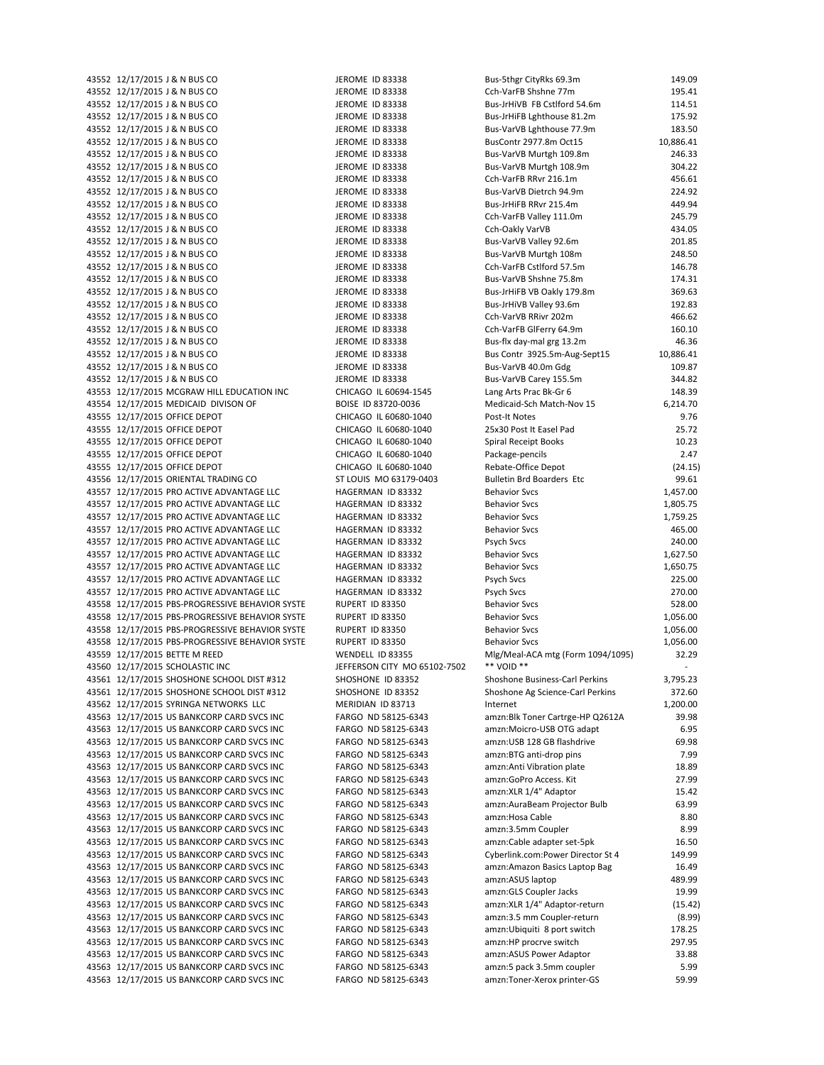43552 12/17/2015 J & N BUS CO 495.41 CEROME ID 83338 CCh-VarFB Shshne 77m 195.41 195.41 195.41 195.41 195.41 1<br>43552 12/17/2015 J & N BUS CO 414.51 198338 Bus-JrHiVB FB Cstlford 54.6m 114.51 43552 12/17/2015 J & N BUS CO JEROME ID 83338 Bus-JrHiVB FB Cstlford 54.6m 43552 12/17/2015 J & N BUS CO **JEROME ID 83338** Bus-JrHiFB Lghthouse 81.2m 175.92 43552 12/17/2015 J & N BUS CO JEROME ID 83338 Bus-VarVB Lehthouse 77.9m 183.50 43552 12/17/2015 J & N BUS CO **JEROME ID 83338** BusContr 2977.8m Oct15 10,886.41 43552 12/17/2015 J & N BUS CO JEROME ID 83338 Bus-VarVB Murtgh 109.8m 246.33 43552 12/17/2015 J & N BUS CO **JEROME ID 83338** Bus-VarVB Murtgh 108.9m 304.22 43552 12/17/2015 J & N BUS CO JEROME ID 83338 Cch-VarFB RRvr 216.1m 456.61 43552 12/17/2015 J & N BUS CO JEROME ID 83338 Bus-VarVB Dietrch 94.9m 224.92 43552 12/17/2015 J & N BUS CO JEROME ID 83338 Bus-JrHiFB RRvr 215.4m 449.94 449.94 43552 12/17/2015 J & N BUS CO **JEROME ID 83338** Cch-VarFB Valley 111.0m 245.79 43552 12/17/2015 J & N BUS CO **SECUTE:** THE MOME ID 83338 CONFIDENT CONSUMING THE MOME ID 83338 43552 12/17/2015 J & N BUS CO **JEROME ID 83338** Bus-VarVB Valley 92.6m 201.85 43552 12/17/2015 J & N BUS CO JEROME ID 83338 Bus-VarVB Murtgh 108m 248.50 43552 12/17/2015 J & N BUS CO **JEROME ID 83338** Cch-VarFB Cstlford 57.5m 146.78 43552 12/17/2015 J & N BUS CO JEROME ID 83338 Bus-VarVB Shshne 75.8m 174.31 43552 12/17/2015 J & N BUS CO **JEROME ID 83338** Bus-JrHiFB VB Oakly 179.8m 369.63 43552 12/17/2015 J & N BUS CO **A BUS** JEROME ID 83338 Bus-JrHiVB Valley 93.6m 192.83 466.62<br>43552 12/17/2015 J & N BUS CO **A BUS AN BUS** JEROME ID 83338 Cch-VarVB RRivr 202m 466.62 43552 12/17/2015 J & N BUS CO **JEROME ID 83338** Cch-VarVB RRivr 202m 466.62 43552 12/17/2015 J & N BUS CO JEROME ID 83338 Cch-VarFB GlFerry 64.9m 160.10 43552 12/17/2015 J & N BUS CO JEROME ID 83338 Bus-flx day-mal grg 13.2m 46.36 43552 12/17/2015 J & N BUS CO JEROME ID 83338 Bus Contr 3925.5m-Aug-Sept15 10,886.41 43552 12/17/2015 J & N BUS CO JOB CO JEROME ID 83338 Bus-VarVB 40.0m Gdg 109.87 43552 12/17/2015 J & N BUS CO **JEROME ID 83338** Bus-VarVB Carey 155.5m 344.82 43553 12/17/2015 MCGRAW HILL EDUCATION INC CHICAGO IL 60694-1545 Lang Arts Prac Bk-Gr 6 148.39 43554 12/17/2015 MEDICAID DIVISON OF BOISE ID 83720-0036 Medicaid-Sch Match-Nov 15 6,214.70 43555 12/17/2015 OFFICE DEPOT CHICAGO IL 60680-1040 Post-It Notes 9.76 43555 12/17/2015 OFFICE DEPOT CHICAGO IL 60680‐1040 25x30 Post It Easel Pad 25.72 43555 12/17/2015 OFFICE DEPOT CHICAGO IL 60680-1040 Spiral Receipt Books 10.23 43555 12/17/2015 OFFICE DEPOT CHICAGO IL 60680-1040 Package-pencils 2.47 43555 12/17/2015 OFFICE DEPOT CHICAGO IL 60680‐1040 Rebate‐Office Depot (24.15) 43556 12/17/2015 ORIENTAL TRADING CO ST LOUIS MO 63179-0403 Bulletin Brd Boarders Etc 99.61 43557 12/17/2015 PRO ACTIVE ADVANTAGE LLC HAGERMAN ID 83332 Behavior Svcs 1,457.00 43557 12/17/2015 PRO ACTIVE ADVANTAGE LLC HAGERMAN ID 83332 Behavior Svcs 1,805.75 43557 12/17/2015 PRO ACTIVE ADVANTAGE LLC HAGERMAN ID 83332 Behavior Svcs 1,759.25 43557 12/17/2015 PRO ACTIVE ADVANTAGE LLC HAGERMAN ID 83332 Behavior Svcs 465.00 43557 12/17/2015 PRO ACTIVE ADVANTAGE LLC HAGERMAN ID 83332 Psych Svcs 240.00 43557 12/17/2015 PRO ACTIVE ADVANTAGE LLC HAGERMAN ID 83332 Behavior Svcs 1,627.50 43557 12/17/2015 PRO ACTIVE ADVANTAGE LLC HAGERMAN ID 83332 Behavior Svcs 1,650.75 43557 12/17/2015 PRO ACTIVE ADVANTAGE LLC HAGERMAN ID 83332 Psych Svcs 225.00 43557 12/17/2015 PRO ACTIVE ADVANTAGE LLC HAGERMAN ID 83332 Psych Svcs 270.00 43558 12/17/2015 PBS-PROGRESSIVE BEHAVIOR SYSTE RUPERT ID 83350 Behavior Svcs 528.00 43558 12/17/2015 PBS-PROGRESSIVE BEHAVIOR SYSTE RUPERT ID 83350 Behavior Svcs 1,056.00 1,056.00 43558 12/17/2015 PBS‐PROGRESSIVE BEHAVIOR SYSTE RUPERT ID 83350 Behavior Svcs 1,056.00 43558 12/17/2015 PBS-PROGRESSIVE BEHAVIOR SYSTE RUPERT ID 83350 Behavior Svcs Behavior Svcs 1,056.00 43559 12/17/2015 BETTE M REED WENDELL ID 83355 Mlg/Meal‐ACA mtg (Form 1094/1095) 32.29 43560 12/17/2015 SCHOLASTIC INC JEFFERSON CITY MO 65102-7502 \*\* VOID \*\* 43561 12/17/2015 SHOSHONE SCHOOL DIST #312 SHOSHONE ID 83352 Shoshone Business‐Carl Perkins 3,795.23 43561 12/17/2015 SHOSHONE SCHOOL DIST #312 SHOSHONE ID 83352 Shoshone Ag Science-Carl Perkins 372.60 43562 12/17/2015 SYRINGA NETWORKS LLC MERIDIAN ID 83713 Internet 1,200.00 Internet 1,200.00 43563 12/17/2015 US BANKCORP CARD SVCS INC FARGO ND 58125-6343 amzn:Blk Toner Cartrge-HP Q2612A 39.98 43563 12/17/2015 US BANKCORP CARD SVCS INC FARGO ND 58125‐6343 amzn:Moicro‐USB OTG adapt 6.95 43563 12/17/2015 US BANKCORP CARD SVCS INC<br>
FARGO ND 58125-6343 amzn:USB 128 GB flashdrive 69.98 43563 12/17/2015 US BANKCORP CARD SVCS INC FARGO ND 58125-6343 amzn:BTG anti-drop pins 7.99 43563 12/17/2015 US BANKCORP CARD SVCS INC FARGO ND 58125-6343 amzn:Anti Vibration plate 18.89 43563 12/17/2015 US BANKCORP CARD SVCS INC FARGO ND 58125‐6343 amzn:GoPro Access. Kit 27.99 43563 12/17/2015 US BANKCORP CARD SVCS INC FARGO ND 58125-6343 amzn:XLR 1/4" Adaptor 15.42 43563 12/17/2015 US BANKCORP CARD SVCS INC FARGO ND 58125-6343 amzn:AuraBeam Projector Bulb 63.99 43563 12/17/2015 US BANKCORP CARD SVCS INC FARGO ND 58125-6343 amzn:Hosa Cable 8.80 43563 12/17/2015 US BANKCORP CARD SVCS INC FARGO ND 58125-6343 amzn:3.5mm Coupler 8.99<br>43563 12/17/2015 US BANKCORP CARD SVCS INC FARGO ND 58125-6343 amzn:Cable adapter set-5pk 16.50 43563 12/17/2015 US BANKCORP CARD SVCS INC FARGO ND 58125-6343 amzn:Cable adapter set-5pk 16.50 43563 12/17/2015 US BANKCORP CARD SVCS INC FARGO ND 58125‐6343 Cyberlink.com:Power Director St 4 149.99 43563 12/17/2015 US BANKCORP CARD SVCS INC FARGO ND 58125-6343 amzn:Amazon Basics Laptop Bag 16.49 43563 12/17/2015 US BANKCORP CARD SVCS INC FARGO ND 58125-6343 amzn:ASUS laptop 489.99 43563 12/17/2015 US BANKCORP CARD SVCS INC FARGO ND 58125‐6343 amzn:GLS Coupler Jacks 19.99 43563 12/17/2015 US BANKCORP CARD SVCS INC FARGO ND 58125-6343 amzn:XLR 1/4" Adaptor-return (15.42) 43563 12/17/2015 US BANKCORP CARD SVCS INC FARGO ND 58125‐6343 amzn:3.5 mm Coupler‐return (8.99) 43563 12/17/2015 US BANKCORP CARD SVCS INC FARGO ND 58125-6343 amzn:Ubiquiti 8 port switch 178.25 43563 12/17/2015 US BANKCORP CARD SVCS INC FARGO ND 58125‐6343 amzn:HP procrve switch 297.95 43563 12/17/2015 US BANKCORP CARD SVCS INC FARGO ND 58125‐6343 amzn:ASUS Power Adaptor 33.88 43563 12/17/2015 US BANKCORP CARD SVCS INC FARGO ND 58125-6343 amzn:5 pack 3.5mm coupler 5.99 43563 12/17/2015 US BANKCORP CARD SVCS INC FARGO ND 58125‐6343 amzn:Toner‐Xerox printer‐GS 59.99

43552 12/17/2015 J & N BUS CO JEROME ID 83338 Bus-5ther CityRks 69.3m 149.09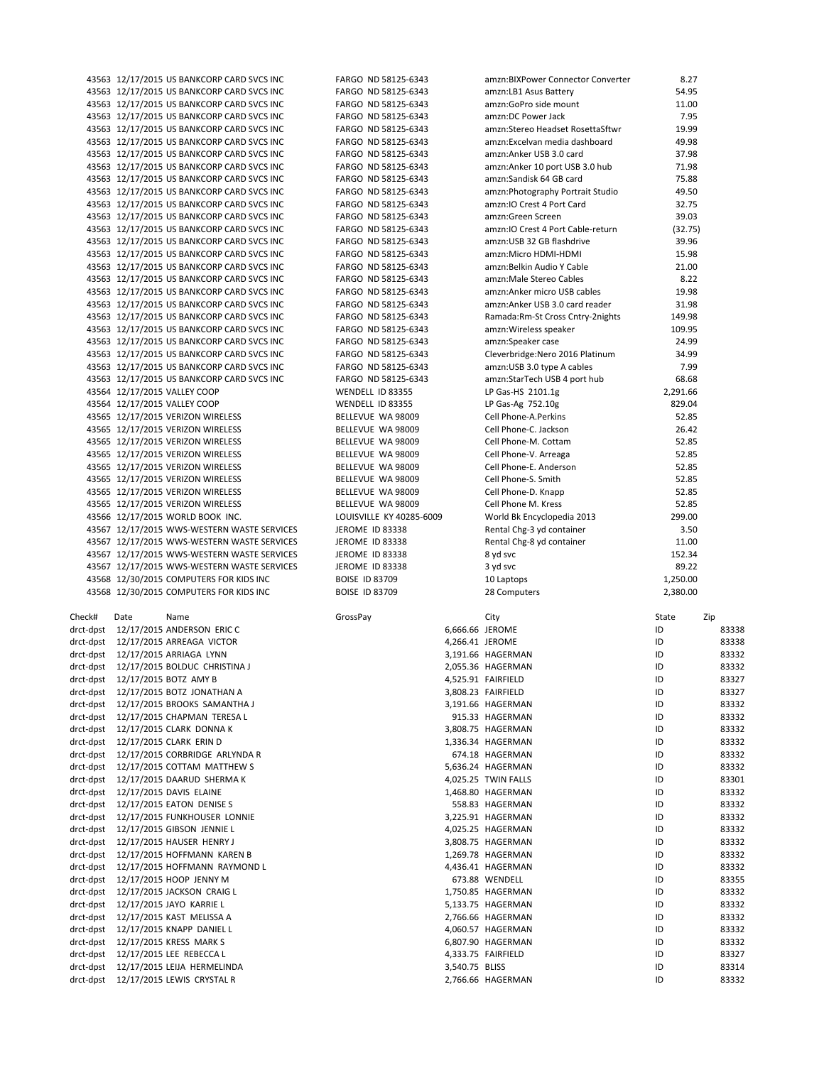|        |      | 43563 12/17/2015 US BANKCORP CARD SVCS INC                                    | FARGO ND 58125-6343      |                | amzn:BIXPower Connector Converter  | 8.27     |                |
|--------|------|-------------------------------------------------------------------------------|--------------------------|----------------|------------------------------------|----------|----------------|
|        |      | 43563 12/17/2015 US BANKCORP CARD SVCS INC                                    | FARGO ND 58125-6343      |                | amzn: LB1 Asus Battery             | 54.95    |                |
|        |      | 43563 12/17/2015 US BANKCORP CARD SVCS INC                                    | FARGO ND 58125-6343      |                | amzn:GoPro side mount              | 11.00    |                |
|        |      | 43563 12/17/2015 US BANKCORP CARD SVCS INC                                    | FARGO ND 58125-6343      |                | amzn:DC Power Jack                 | 7.95     |                |
|        |      |                                                                               |                          |                |                                    |          |                |
|        |      | 43563 12/17/2015 US BANKCORP CARD SVCS INC                                    | FARGO ND 58125-6343      |                | amzn:Stereo Headset RosettaSftwr   | 19.99    |                |
|        |      | 43563 12/17/2015 US BANKCORP CARD SVCS INC                                    | FARGO ND 58125-6343      |                | amzn:Excelvan media dashboard      | 49.98    |                |
|        |      | 43563 12/17/2015 US BANKCORP CARD SVCS INC                                    | FARGO ND 58125-6343      |                | amzn:Anker USB 3.0 card            | 37.98    |                |
|        |      | 43563 12/17/2015 US BANKCORP CARD SVCS INC                                    | FARGO ND 58125-6343      |                | amzn:Anker 10 port USB 3.0 hub     | 71.98    |                |
|        |      | 43563 12/17/2015 US BANKCORP CARD SVCS INC                                    | FARGO ND 58125-6343      |                | amzn:Sandisk 64 GB card            | 75.88    |                |
|        |      |                                                                               |                          |                |                                    |          |                |
|        |      | 43563 12/17/2015 US BANKCORP CARD SVCS INC                                    | FARGO ND 58125-6343      |                | amzn:Photography Portrait Studio   | 49.50    |                |
|        |      | 43563 12/17/2015 US BANKCORP CARD SVCS INC                                    | FARGO ND 58125-6343      |                | amzn:IO Crest 4 Port Card          | 32.75    |                |
|        |      | 43563 12/17/2015 US BANKCORP CARD SVCS INC                                    | FARGO ND 58125-6343      |                | amzn:Green Screen                  | 39.03    |                |
|        |      | 43563 12/17/2015 US BANKCORP CARD SVCS INC                                    | FARGO ND 58125-6343      |                | amzn: IO Crest 4 Port Cable-return | (32.75)  |                |
|        |      | 43563 12/17/2015 US BANKCORP CARD SVCS INC                                    | FARGO ND 58125-6343      |                | amzn: USB 32 GB flashdrive         | 39.96    |                |
|        |      |                                                                               |                          |                |                                    |          |                |
|        |      | 43563 12/17/2015 US BANKCORP CARD SVCS INC                                    | FARGO ND 58125-6343      |                | amzn:Micro HDMI-HDMI               | 15.98    |                |
|        |      | 43563 12/17/2015 US BANKCORP CARD SVCS INC                                    | FARGO ND 58125-6343      |                | amzn: Belkin Audio Y Cable         | 21.00    |                |
|        |      | 43563 12/17/2015 US BANKCORP CARD SVCS INC                                    | FARGO ND 58125-6343      |                | amzn:Male Stereo Cables            | 8.22     |                |
|        |      | 43563 12/17/2015 US BANKCORP CARD SVCS INC                                    | FARGO ND 58125-6343      |                | amzn:Anker micro USB cables        | 19.98    |                |
|        |      | 43563 12/17/2015 US BANKCORP CARD SVCS INC                                    | FARGO ND 58125-6343      |                | amzn:Anker USB 3.0 card reader     | 31.98    |                |
|        |      |                                                                               |                          |                |                                    |          |                |
|        |      | 43563 12/17/2015 US BANKCORP CARD SVCS INC                                    | FARGO ND 58125-6343      |                | Ramada: Rm-St Cross Cntry-2nights  | 149.98   |                |
|        |      | 43563 12/17/2015 US BANKCORP CARD SVCS INC                                    | FARGO ND 58125-6343      |                | amzn: Wireless speaker             | 109.95   |                |
|        |      | 43563 12/17/2015 US BANKCORP CARD SVCS INC                                    | FARGO ND 58125-6343      |                | amzn:Speaker case                  | 24.99    |                |
|        |      | 43563 12/17/2015 US BANKCORP CARD SVCS INC                                    | FARGO ND 58125-6343      |                | Cleverbridge: Nero 2016 Platinum   | 34.99    |                |
|        |      | 43563 12/17/2015 US BANKCORP CARD SVCS INC                                    | FARGO ND 58125-6343      |                | amzn: USB 3.0 type A cables        | 7.99     |                |
|        |      |                                                                               |                          |                |                                    |          |                |
|        |      | 43563 12/17/2015 US BANKCORP CARD SVCS INC                                    | FARGO ND 58125-6343      |                | amzn:StarTech USB 4 port hub       | 68.68    |                |
|        |      | 43564 12/17/2015 VALLEY COOP                                                  | WENDELL ID 83355         |                | LP Gas-HS 2101.1g                  | 2,291.66 |                |
|        |      | 43564 12/17/2015 VALLEY COOP                                                  | WENDELL ID 83355         |                | LP Gas-Ag 752.10g                  | 829.04   |                |
|        |      | 43565 12/17/2015 VERIZON WIRELESS                                             | BELLEVUE WA 98009        |                | Cell Phone-A.Perkins               | 52.85    |                |
|        |      | 43565 12/17/2015 VERIZON WIRELESS                                             | BELLEVUE WA 98009        |                | Cell Phone-C. Jackson              | 26.42    |                |
|        |      |                                                                               |                          |                |                                    |          |                |
|        |      | 43565 12/17/2015 VERIZON WIRELESS                                             | BELLEVUE WA 98009        |                | Cell Phone-M. Cottam               | 52.85    |                |
|        |      | 43565 12/17/2015 VERIZON WIRELESS                                             | BELLEVUE WA 98009        |                | Cell Phone-V. Arreaga              | 52.85    |                |
|        |      | 43565 12/17/2015 VERIZON WIRELESS                                             | BELLEVUE WA 98009        |                | Cell Phone-E. Anderson             | 52.85    |                |
|        |      | 43565 12/17/2015 VERIZON WIRELESS                                             | BELLEVUE WA 98009        |                | Cell Phone-S. Smith                | 52.85    |                |
|        |      | 43565 12/17/2015 VERIZON WIRELESS                                             | BELLEVUE WA 98009        |                | Cell Phone-D. Knapp                | 52.85    |                |
|        |      |                                                                               |                          |                |                                    |          |                |
|        |      | 43565 12/17/2015 VERIZON WIRELESS                                             | BELLEVUE WA 98009        |                |                                    | 52.85    |                |
|        |      |                                                                               |                          |                | Cell Phone M. Kress                |          |                |
|        |      | 43566 12/17/2015 WORLD BOOK INC.                                              | LOUISVILLE KY 40285-6009 |                | World Bk Encyclopedia 2013         | 299.00   |                |
|        |      | 43567 12/17/2015 WWS-WESTERN WASTE SERVICES                                   | JEROME ID 83338          |                | Rental Chg-3 yd container          | 3.50     |                |
|        |      |                                                                               |                          |                |                                    |          |                |
|        |      | 43567 12/17/2015 WWS-WESTERN WASTE SERVICES                                   | JEROME ID 83338          |                | Rental Chg-8 yd container          | 11.00    |                |
|        |      | 43567 12/17/2015 WWS-WESTERN WASTE SERVICES                                   | JEROME ID 83338          |                | 8 yd svc                           | 152.34   |                |
|        |      | 43567 12/17/2015 WWS-WESTERN WASTE SERVICES                                   | JEROME ID 83338          |                | 3 yd svc                           | 89.22    |                |
|        |      | 43568 12/30/2015 COMPUTERS FOR KIDS INC                                       | <b>BOISE ID 83709</b>    |                | 10 Laptops                         | 1,250.00 |                |
|        |      | 43568 12/30/2015 COMPUTERS FOR KIDS INC                                       | <b>BOISE ID 83709</b>    |                | 28 Computers                       | 2,380.00 |                |
|        |      |                                                                               |                          |                |                                    |          |                |
|        |      |                                                                               |                          |                |                                    |          |                |
| Check# | Date | Name                                                                          | GrossPay                 |                | City                               | State    | Zip            |
|        |      | drct-dpst 12/17/2015 ANDERSON ERIC C                                          |                          |                | 6,666.66 JEROME                    | ID       | 83338          |
|        |      | drct-dpst 12/17/2015 ARREAGA VICTOR                                           |                          |                | 4,266.41 JEROME                    | ID       | 83338          |
|        |      | drct-dpst 12/17/2015 ARRIAGA LYNN                                             |                          |                | 3,191.66 HAGERMAN                  | ID       | 83332          |
|        |      |                                                                               |                          |                |                                    | ID       | 83332          |
|        |      | drct-dpst 12/17/2015 BOLDUC CHRISTINA J                                       |                          |                | 2,055.36 HAGERMAN                  |          |                |
|        |      | drct-dpst 12/17/2015 BOTZ AMY B                                               |                          |                | 4,525.91 FAIRFIELD                 | ID       | 83327          |
|        |      | drct-dpst 12/17/2015 BOTZ JONATHAN A                                          |                          |                | 3,808.23 FAIRFIELD                 | ID       | 83327          |
|        |      | drct-dpst 12/17/2015 BROOKS SAMANTHA J                                        |                          |                | 3,191.66 HAGERMAN                  | ID       | 83332          |
|        |      | drct-dpst 12/17/2015 CHAPMAN TERESA L                                         |                          |                | 915.33 HAGERMAN                    | ID       | 83332          |
|        |      | drct-dpst 12/17/2015 CLARK DONNA K                                            |                          |                | 3,808.75 HAGERMAN                  | ID       | 83332          |
|        |      |                                                                               |                          |                |                                    |          |                |
|        |      | drct-dpst 12/17/2015 CLARK ERIN D                                             |                          |                | 1,336.34 HAGERMAN                  | ID       | 83332          |
|        |      | drct-dpst 12/17/2015 CORBRIDGE ARLYNDA R                                      |                          |                | 674.18 HAGERMAN                    | ID       | 83332          |
|        |      | drct-dpst 12/17/2015 COTTAM MATTHEW S                                         |                          |                | 5,636.24 HAGERMAN                  | ID       | 83332          |
|        |      | drct-dpst 12/17/2015 DAARUD SHERMA K                                          |                          |                | 4,025.25 TWIN FALLS                | ID       | 83301          |
|        |      | drct-dpst 12/17/2015 DAVIS ELAINE                                             |                          |                | 1,468.80 HAGERMAN                  | ID       | 83332          |
|        |      |                                                                               |                          |                |                                    |          |                |
|        |      | drct-dpst 12/17/2015 EATON DENISE S                                           |                          |                | 558.83 HAGERMAN                    | ID       | 83332          |
|        |      | drct-dpst 12/17/2015 FUNKHOUSER LONNIE                                        |                          |                | 3,225.91 HAGERMAN                  | ID       | 83332          |
|        |      | drct-dpst 12/17/2015 GIBSON JENNIE L                                          |                          |                | 4,025.25 HAGERMAN                  | ID       | 83332          |
|        |      | drct-dpst 12/17/2015 HAUSER HENRY J                                           |                          |                | 3,808.75 HAGERMAN                  | ID       | 83332          |
|        |      | drct-dpst 12/17/2015 HOFFMANN KAREN B                                         |                          |                | 1,269.78 HAGERMAN                  | ID       | 83332          |
|        |      |                                                                               |                          |                |                                    | ID       |                |
|        |      | drct-dpst 12/17/2015 HOFFMANN RAYMOND L                                       |                          |                | 4,436.41 HAGERMAN                  |          | 83332          |
|        |      | drct-dpst 12/17/2015 HOOP JENNY M                                             |                          |                | 673.88 WENDELL                     | ID       | 83355          |
|        |      | drct-dpst 12/17/2015 JACKSON CRAIG L                                          |                          |                | 1,750.85 HAGERMAN                  | ID       | 83332          |
|        |      | drct-dpst 12/17/2015 JAYO KARRIE L                                            |                          |                | 5,133.75 HAGERMAN                  | ID       | 83332          |
|        |      | drct-dpst 12/17/2015 KAST MELISSA A                                           |                          |                | 2,766.66 HAGERMAN                  | ID       | 83332          |
|        |      | drct-dpst 12/17/2015 KNAPP DANIEL L                                           |                          |                | 4,060.57 HAGERMAN                  | ID       | 83332          |
|        |      |                                                                               |                          |                |                                    |          |                |
|        |      | drct-dpst 12/17/2015 KRESS MARK S                                             |                          |                | 6,807.90 HAGERMAN                  | ID       | 83332          |
|        |      | drct-dpst 12/17/2015 LEE REBECCA L                                            |                          |                | 4,333.75 FAIRFIELD                 | ID       | 83327          |
|        |      | drct-dpst 12/17/2015 LEIJA HERMELINDA<br>drct-dpst 12/17/2015 LEWIS CRYSTAL R |                          | 3,540.75 BLISS | 2,766.66 HAGERMAN                  | ID<br>ID | 83314<br>83332 |